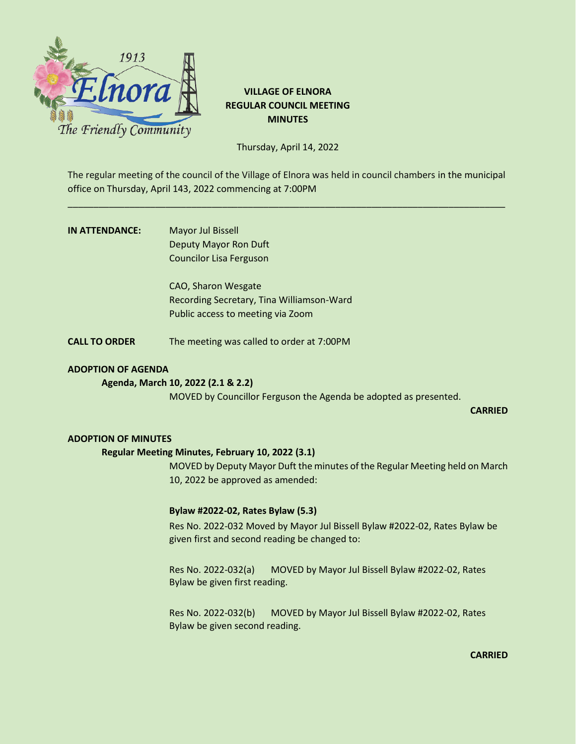

# **VILLAGE OF ELNORA REGULAR COUNCIL MEETING MINUTES**

Thursday, April 14, 2022

The regular meeting of the council of the Village of Elnora was held in council chambers in the municipal office on Thursday, April 143, 2022 commencing at 7:00PM

\_\_\_\_\_\_\_\_\_\_\_\_\_\_\_\_\_\_\_\_\_\_\_\_\_\_\_\_\_\_\_\_\_\_\_\_\_\_\_\_\_\_\_\_\_\_\_\_\_\_\_\_\_\_\_\_\_\_\_\_\_\_\_\_\_\_\_\_\_\_\_\_\_\_\_\_\_\_\_\_\_\_\_\_\_

| IN ATTENDANCE: | <b>Mayor Jul Bissell</b>       |
|----------------|--------------------------------|
|                | Deputy Mayor Ron Duft          |
|                | <b>Councilor Lisa Ferguson</b> |

CAO, Sharon Wesgate Recording Secretary, Tina Williamson-Ward Public access to meeting via Zoom

**CALL TO ORDER** The meeting was called to order at 7:00PM

# **ADOPTION OF AGENDA**

# **Agenda, March 10, 2022 (2.1 & 2.2)**

MOVED by Councillor Ferguson the Agenda be adopted as presented.

**CARRIED**

### **ADOPTION OF MINUTES**

### **Regular Meeting Minutes, February 10, 2022 (3.1)**

MOVED by Deputy Mayor Duft the minutes of the Regular Meeting held on March 10, 2022 be approved as amended:

### **Bylaw #2022-02, Rates Bylaw (5.3)**

Res No. 2022-032 Moved by Mayor Jul Bissell Bylaw #2022-02, Rates Bylaw be given first and second reading be changed to:

Res No. 2022-032(a) MOVED by Mayor Jul Bissell Bylaw #2022-02, Rates Bylaw be given first reading.

Res No. 2022-032(b) MOVED by Mayor Jul Bissell Bylaw #2022-02, Rates Bylaw be given second reading.

**CARRIED**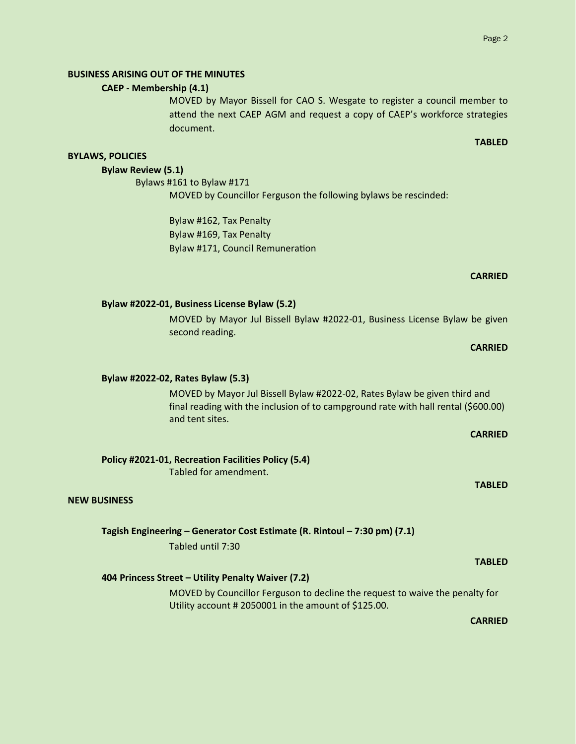# **BUSINESS ARISING OUT OF THE MINUTES**

# **CAEP - Membership (4.1)**

MOVED by Mayor Bissell for CAO S. Wesgate to register a council member to attend the next CAEP AGM and request a copy of CAEP's workforce strategies document.

### **TABLED**

# **BYLAWS, POLICIES**

# **Bylaw Review (5.1)**

Bylaws #161 to Bylaw #171 MOVED by Councillor Ferguson the following bylaws be rescinded:

> Bylaw #162, Tax Penalty Bylaw #169, Tax Penalty Bylaw #171, Council Remuneration

# **CARRIED**

# **CARRIED**

### **Bylaw #2022-02, Rates Bylaw (5.3)**

MOVED by Mayor Jul Bissell Bylaw #2022-02, Rates Bylaw be given third and final reading with the inclusion of to campground rate with hall rental (\$600.00) and tent sites.

MOVED by Mayor Jul Bissell Bylaw #2022-01, Business License Bylaw be given

# **CARRIED**

**TABLED**

# **Policy #2021-01, Recreation Facilities Policy (5.4)**

**Bylaw #2022-01, Business License Bylaw (5.2)**

second reading.

Tabled for amendment.

### **NEW BUSINESS**

### **Tagish Engineering – Generator Cost Estimate (R. Rintoul – 7:30 pm) (7.1)**

Tabled until 7:30

### **404 Princess Street – Utility Penalty Waiver (7.2)**

MOVED by Councillor Ferguson to decline the request to waive the penalty for Utility account # 2050001 in the amount of \$125.00.

**CARRIED**

**TABLED**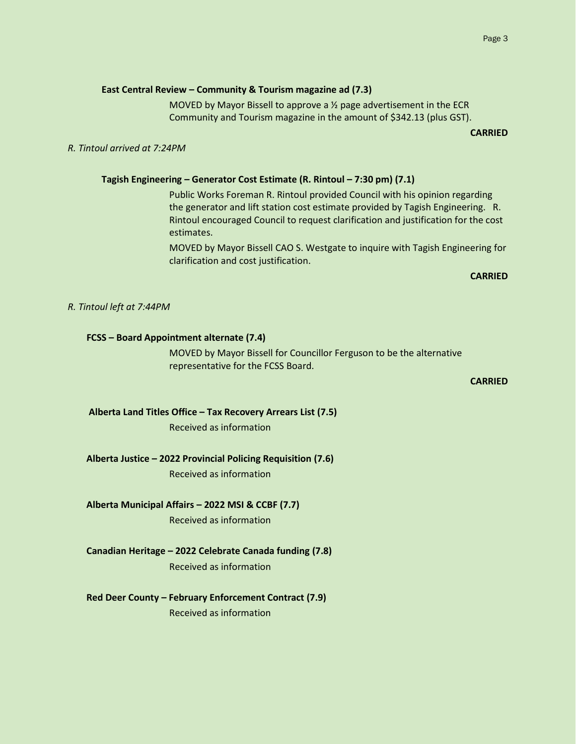### **East Central Review – Community & Tourism magazine ad (7.3)**

MOVED by Mayor Bissell to approve a ½ page advertisement in the ECR Community and Tourism magazine in the amount of \$342.13 (plus GST).

**CARRIED**

### *R. Tintoul arrived at 7:24PM*

### **Tagish Engineering – Generator Cost Estimate (R. Rintoul – 7:30 pm) (7.1)**

Public Works Foreman R. Rintoul provided Council with his opinion regarding the generator and lift station cost estimate provided by Tagish Engineering. R. Rintoul encouraged Council to request clarification and justification for the cost estimates.

MOVED by Mayor Bissell CAO S. Westgate to inquire with Tagish Engineering for clarification and cost justification.

### **CARRIED**

*R. Tintoul left at 7:44PM*

### **FCSS – Board Appointment alternate (7.4)**

MOVED by Mayor Bissell for Councillor Ferguson to be the alternative representative for the FCSS Board.

**CARRIED**

### **Alberta Land Titles Office – Tax Recovery Arrears List (7.5)**

Received as information

#### **Alberta Justice – 2022 Provincial Policing Requisition (7.6)**

Received as information

### **Alberta Municipal Affairs – 2022 MSI & CCBF (7.7)**

Received as information

# **Canadian Heritage – 2022 Celebrate Canada funding (7.8)**

Received as information

### **Red Deer County – February Enforcement Contract (7.9)**

Received as information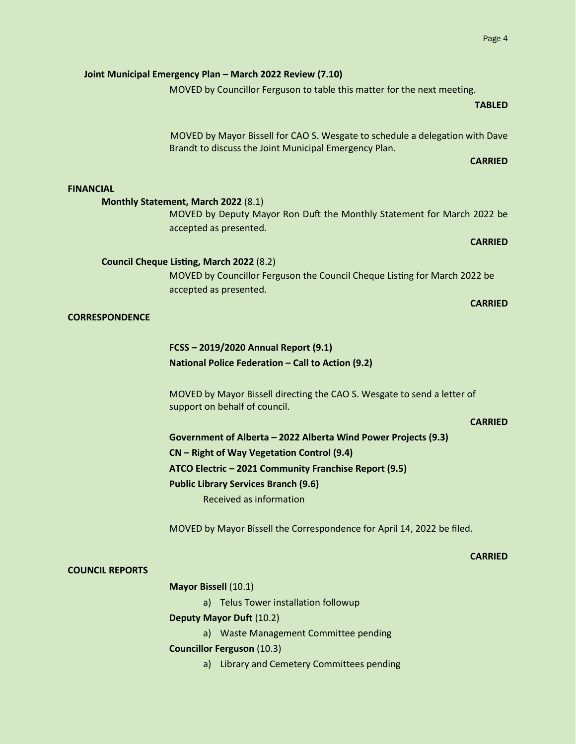# MOVED by Mayor Bissell for CAO S. Wesgate to schedule a delegation with Dave Brandt to discuss the Joint Municipal Emergency Plan. **CARRIED**

### **FINANCIAL**

# **Monthly Statement, March 2022** (8.1)

MOVED by Deputy Mayor Ron Duft the Monthly Statement for March 2022 be accepted as presented.

### **Council Cheque Listing, March 2022** (8.2)

MOVED by Councillor Ferguson the Council Cheque Listing for March 2022 be accepted as presented.

### **CORRESPONDENCE**

# **FCSS – 2019/2020 Annual Report (9.1) National Police Federation – Call to Action (9.2)**

MOVED by Mayor Bissell directing the CAO S. Wesgate to send a letter of support on behalf of council.

### **CARRIED**

 **Government of Alberta – 2022 Alberta Wind Power Projects (9.3) CN – Right of Way Vegetation Control (9.4) ATCO Electric – 2021 Community Franchise Report (9.5) Public Library Services Branch (9.6)** Received as information

MOVED by Mayor Bissell the Correspondence for April 14, 2022 be filed.

### **COUNCIL REPORTS**

### **CARRIED**

# **Mayor Bissell** (10.1) a) Telus Tower installation followup **Deputy Mayor Duft** (10.2) a) Waste Management Committee pending **Councillor Ferguson** (10.3)

a) Library and Cemetery Committees pending

# **Joint Municipal Emergency Plan – March 2022 Review (7.10)**

MOVED by Councillor Ferguson to table this matter for the next meeting.

# **TABLED**

# **CARRIED**

# **CARRIED**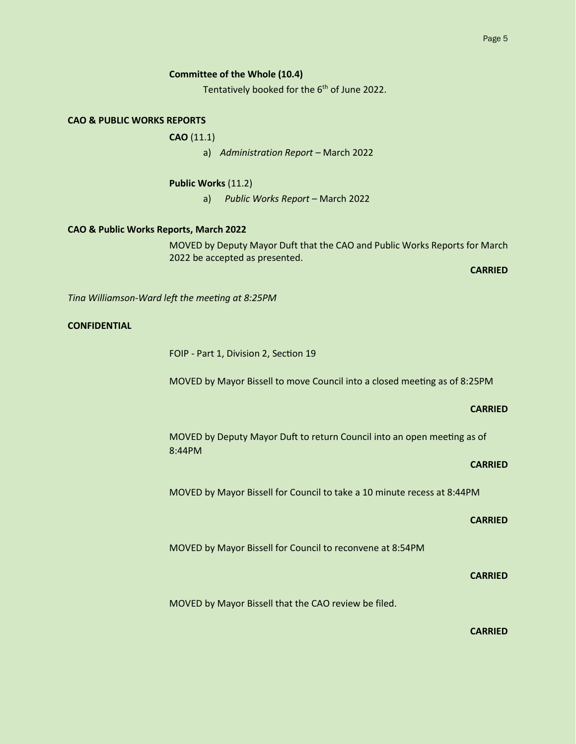### **Committee of the Whole (10.4)**

Tentatively booked for the 6<sup>th</sup> of June 2022.

# **CAO & PUBLIC WORKS REPORTS**

**CAO** (11.1)

a) *Administration Report –* March 2022

**Public Works** (11.2)

a) *Public Works Report –* March 2022

### **CAO & Public Works Reports, March 2022**

MOVED by Deputy Mayor Duft that the CAO and Public Works Reports for March 2022 be accepted as presented.

**CARRIED**

*Tina Williamson-Ward left the meeting at 8:25PM*

# **CONFIDENTIAL**

FOIP - Part 1, Division 2, Section 19

MOVED by Mayor Bissell to move Council into a closed meeting as of 8:25PM

### **CARRIED**

MOVED by Deputy Mayor Duft to return Council into an open meeting as of 8:44PM

### **CARRIED**

MOVED by Mayor Bissell for Council to take a 10 minute recess at 8:44PM

# **CARRIED**

MOVED by Mayor Bissell for Council to reconvene at 8:54PM

### **CARRIED**

MOVED by Mayor Bissell that the CAO review be filed.

### **CARRIED**